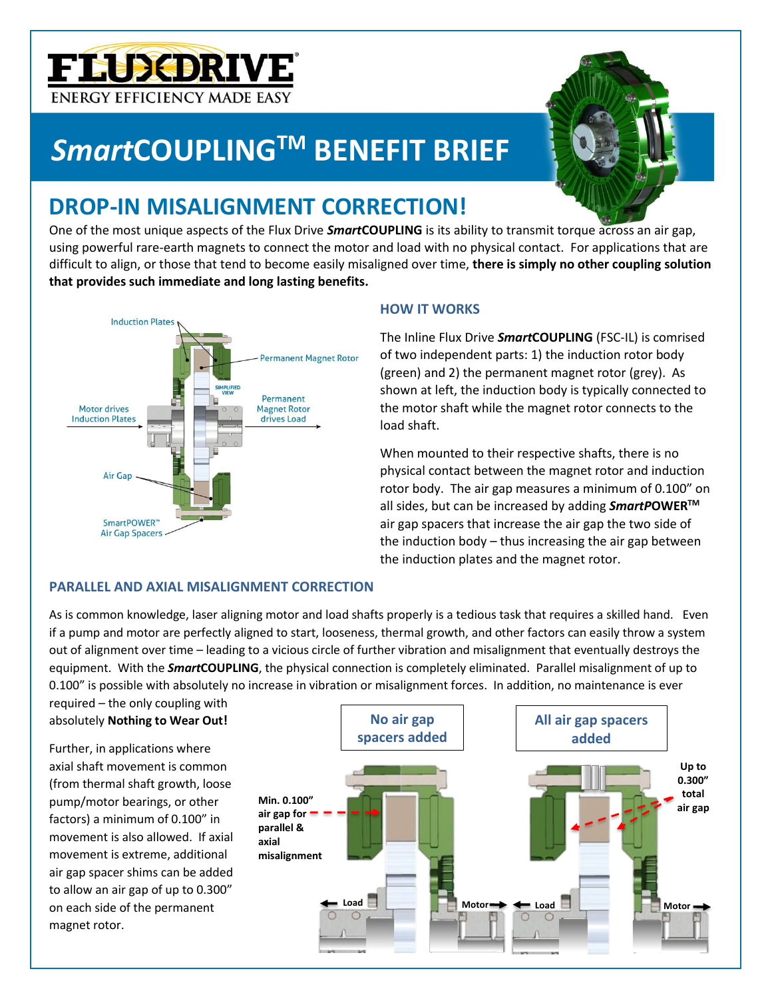# **FLUXDRIVE ENERGY EFFICIENCY MADE EASY**

# *Smart***COUPLINGTM BENEFIT BRIEF**



One of the most unique aspects of the Flux Drive *Smart***COUPLING** is its ability to transmit torque across an air gap, using powerful rare-earth magnets to connect the motor and load with no physical contact. For applications that are difficult to align, or those that tend to become easily misaligned over time, **there is simply no other coupling solution that provides such immediate and long lasting benefits.**



### **HOW IT WORKS**

The Inline Flux Drive *Smart***COUPLING** (FSC-IL) is comrised of two independent parts: 1) the induction rotor body (green) and 2) the permanent magnet rotor (grey). As shown at left, the induction body is typically connected to the motor shaft while the magnet rotor connects to the load shaft.

When mounted to their respective shafts, there is no physical contact between the magnet rotor and induction rotor body. The air gap measures a minimum of 0.100" on all sides, but can be increased by adding *SmartP***OWERTM** air gap spacers that increase the air gap the two side of the induction body – thus increasing the air gap between the induction plates and the magnet rotor.

## **PARALLEL AND AXIAL MISALIGNMENT CORRECTION**

As is common knowledge, laser aligning motor and load shafts properly is a tedious task that requires a skilled hand. Even if a pump and motor are perfectly aligned to start, looseness, thermal growth, and other factors can easily throw a system out of alignment over time – leading to a vicious circle of further vibration and misalignment that eventually destroys the equipment. With the *Smart***COUPLING**, the physical connection is completely eliminated. Parallel misalignment of up to 0.100" is possible with absolutely no increase in vibration or misalignment forces. In addition, no maintenance is ever

required – the only coupling with absolutely **Nothing to Wear Out!**

Further, in applications where axial shaft movement is common (from thermal shaft growth, loose pump/motor bearings, or other factors) a minimum of 0.100" in movement is also allowed. If axial movement is extreme, additional air gap spacer shims can be added to allow an air gap of up to 0.300" on each side of the permanent magnet rotor.